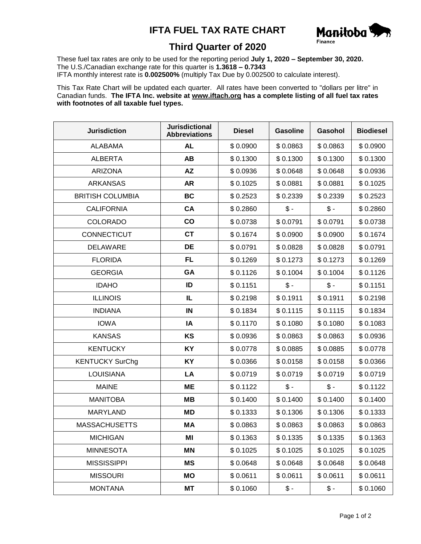## **IFTA FUEL TAX RATE CHART**



## **Third Quarter of 2020**

These fuel tax rates are only to be used for the reporting period **July 1, 2020 – September 30, 2020.** The U.S./Canadian exchange rate for this quarter is **1.3618 – 0.7343** IFTA monthly interest rate is **0.002500%** (multiply Tax Due by 0.002500 to calculate interest).

This Tax Rate Chart will be updated each quarter. All rates have been converted to "dollars per litre" in Canadian funds. **The IFTA Inc. website at www.iftach.org has a complete listing of all fuel tax rates with footnotes of all taxable fuel types.**

| <b>Jurisdiction</b>     | <b>Jurisdictional</b><br><b>Abbreviations</b> | <b>Diesel</b> | <b>Gasoline</b> | Gasohol         | <b>Biodiesel</b> |
|-------------------------|-----------------------------------------------|---------------|-----------------|-----------------|------------------|
| <b>ALABAMA</b>          | <b>AL</b>                                     | \$0.0900      | \$0.0863        | \$0.0863        | \$0.0900         |
| <b>ALBERTA</b>          | <b>AB</b>                                     | \$0.1300      | \$0.1300        | \$0.1300        | \$0.1300         |
| <b>ARIZONA</b>          | <b>AZ</b>                                     | \$0.0936      | \$0.0648        | \$0.0648        | \$0.0936         |
| <b>ARKANSAS</b>         | <b>AR</b>                                     | \$0.1025      | \$0.0881        | \$0.0881        | \$0.1025         |
| <b>BRITISH COLUMBIA</b> | <b>BC</b>                                     | \$0.2523      | \$0.2339        | \$0.2339        | \$0.2523         |
| <b>CALIFORNIA</b>       | CA                                            | \$0.2860      | $$ -$           | $\frac{2}{3}$ - | \$0.2860         |
| <b>COLORADO</b>         | $\mathbf{co}$                                 | \$0.0738      | \$0.0791        | \$0.0791        | \$0.0738         |
| CONNECTICUT             | <b>CT</b>                                     | \$0.1674      | \$0.0900        | \$0.0900        | \$0.1674         |
| <b>DELAWARE</b>         | DE                                            | \$0.0791      | \$0.0828        | \$0.0828        | \$0.0791         |
| <b>FLORIDA</b>          | <b>FL</b>                                     | \$0.1269      | \$0.1273        | \$0.1273        | \$0.1269         |
| <b>GEORGIA</b>          | <b>GA</b>                                     | \$0.1126      | \$0.1004        | \$0.1004        | \$0.1126         |
| <b>IDAHO</b>            | ID                                            | \$0.1151      | $$ -$           | $$ -$           | \$0.1151         |
| <b>ILLINOIS</b>         | IL                                            | \$0.2198      | \$0.1911        | \$0.1911        | \$0.2198         |
| <b>INDIANA</b>          | IN                                            | \$0.1834      | \$0.1115        | \$0.1115        | \$0.1834         |
| <b>IOWA</b>             | IA                                            | \$0.1170      | \$0.1080        | \$0.1080        | \$0.1083         |
| <b>KANSAS</b>           | KS                                            | \$0.0936      | \$0.0863        | \$0.0863        | \$0.0936         |
| <b>KENTUCKY</b>         | KY                                            | \$0.0778      | \$0.0885        | \$0.0885        | \$0.0778         |
| <b>KENTUCKY SurChg</b>  | KY                                            | \$0.0366      | \$0.0158        | \$0.0158        | \$0.0366         |
| <b>LOUISIANA</b>        | LA                                            | \$0.0719      | \$0.0719        | \$0.0719        | \$0.0719         |
| <b>MAINE</b>            | ME                                            | \$0.1122      | $$ -$           | $$ -$           | \$0.1122         |
| <b>MANITOBA</b>         | MВ                                            | \$0.1400      | \$0.1400        | \$0.1400        | \$0.1400         |
| <b>MARYLAND</b>         | MD                                            | \$0.1333      | \$0.1306        | \$0.1306        | \$0.1333         |
| <b>MASSACHUSETTS</b>    | МA                                            | \$0.0863      | \$0.0863        | \$0.0863        | \$0.0863         |
| <b>MICHIGAN</b>         | ΜI                                            | \$0.1363      | \$0.1335        | \$0.1335        | \$0.1363         |
| <b>MINNESOTA</b>        | ΜN                                            | \$0.1025      | \$0.1025        | \$0.1025        | \$0.1025         |
| <b>MISSISSIPPI</b>      | MS                                            | \$0.0648      | \$0.0648        | \$0.0648        | \$0.0648         |
| <b>MISSOURI</b>         | ΜO                                            | \$0.0611      | \$0.0611        | \$0.0611        | \$0.0611         |
| <b>MONTANA</b>          | МT                                            | \$0.1060      | $$ -$           | \$ -            | \$0.1060         |